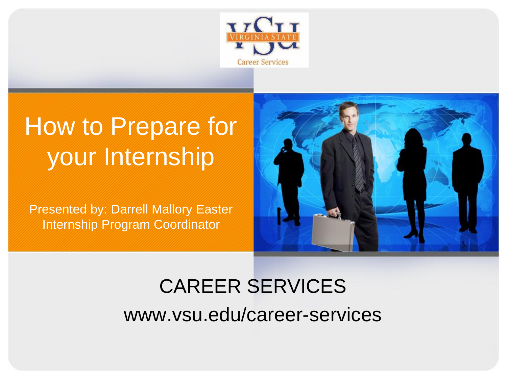

### How to Prepare for your Internship

Presented by: Darrell Mallory Easter Internship Program Coordinator



### CAREER SERVICES www.vsu.edu/career-services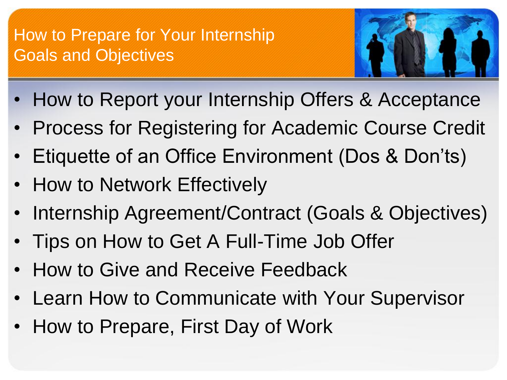#### How to Prepare for Your Internship Goals and Objectives



- How to Report your Internship Offers & Acceptance
- Process for Registering for Academic Course Credit
- Etiquette of an Office Environment (Dos & Don'ts)
- How to Network Effectively
- Internship Agreement/Contract (Goals & Objectives)
- Tips on How to Get A Full-Time Job Offer
- How to Give and Receive Feedback
- Learn How to Communicate with Your Supervisor
- How to Prepare, First Day of Work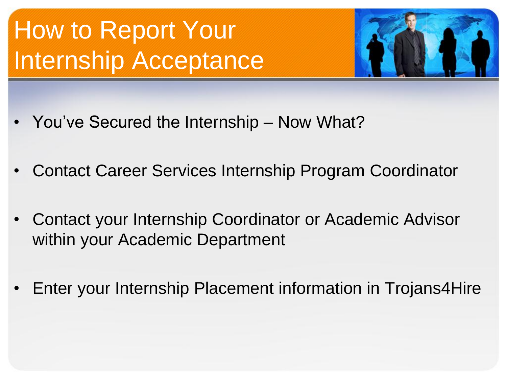# How to Report Your Internship Acceptance



- You've Secured the Internship Now What?
- Contact Career Services Internship Program Coordinator
- Contact your Internship Coordinator or Academic Advisor within your Academic Department
- Enter your Internship Placement information in Trojans4Hire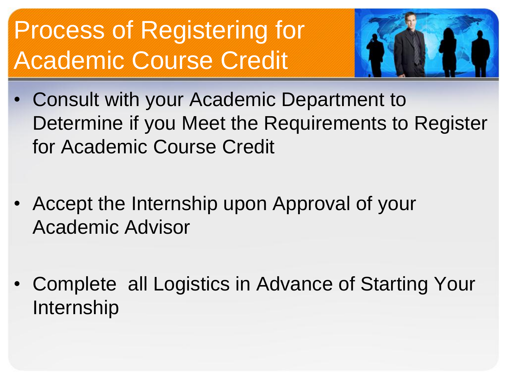# Process of Registering for Academic Course Credit



- Consult with your Academic Department to Determine if you Meet the Requirements to Register for Academic Course Credit
- Accept the Internship upon Approval of your Academic Advisor
- Complete all Logistics in Advance of Starting Your Internship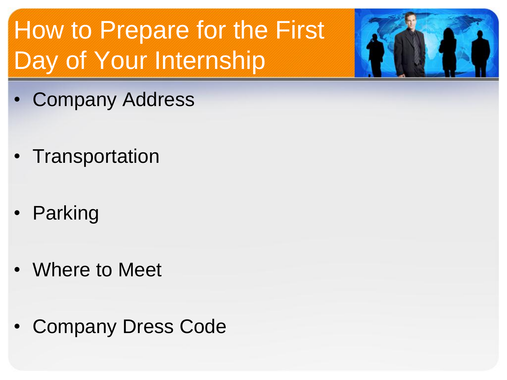# How to Prepare for the First Day of Your Internship



- Company Address
- Transportation
- Parking
- Where to Meet
- Company Dress Code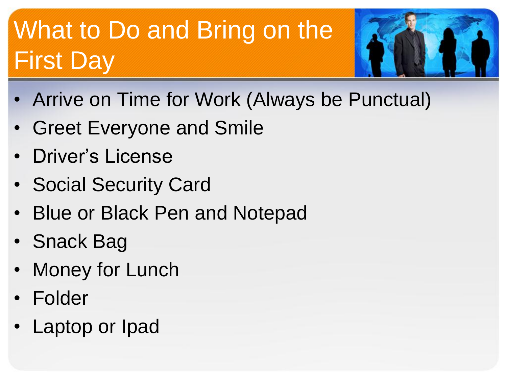# What to Do and Bring on the First Day



- Arrive on Time for Work (Always be Punctual)
- Greet Everyone and Smile
- Driver's License
- Social Security Card
- Blue or Black Pen and Notepad
- Snack Bag
- Money for Lunch
- Folder
- Laptop or Ipad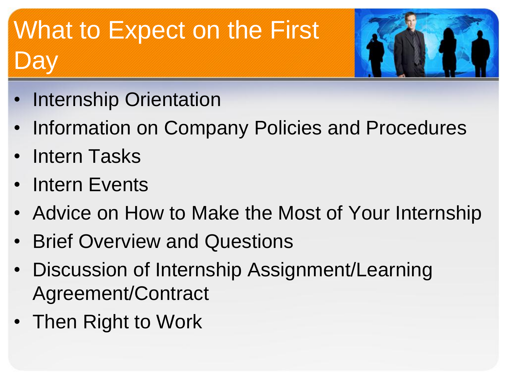# What to Expect on the First Day



- Internship Orientation
- Information on Company Policies and Procedures
- Intern Tasks
- Intern Events
- Advice on How to Make the Most of Your Internship
- Brief Overview and Questions
- Discussion of Internship Assignment/Learning Agreement/Contract
- Then Right to Work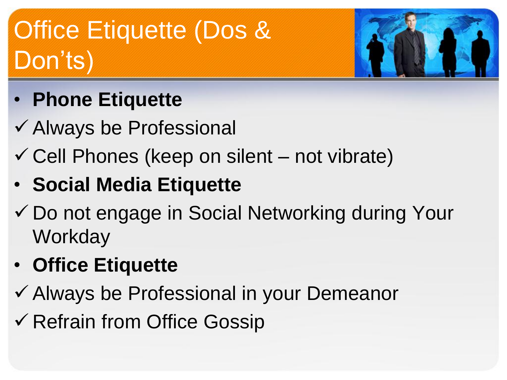# Office Etiquette (Dos & Don'ts)



- **Phone Etiquette**
- Always be Professional
- $\checkmark$  Cell Phones (keep on silent not vibrate)
- **Social Media Etiquette**
- Do not engage in Social Networking during Your **Workday**
- **Office Etiquette**
- Always be Professional in your Demeanor
- **√ Refrain from Office Gossip**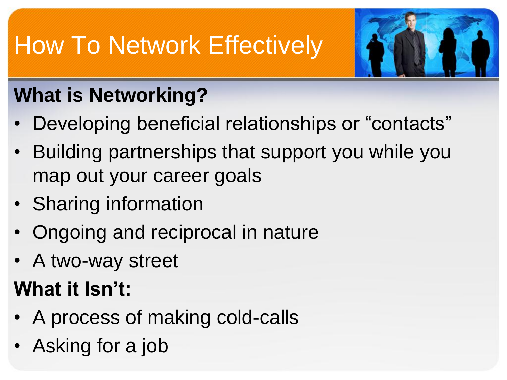# How To Network Effectively



### **What is Networking?**

- Developing beneficial relationships or "contacts"
- Building partnerships that support you while you map out your career goals
- Sharing information
- Ongoing and reciprocal in nature
- A two-way street

### **What it Isn't:**

- A process of making cold-calls
- Asking for a job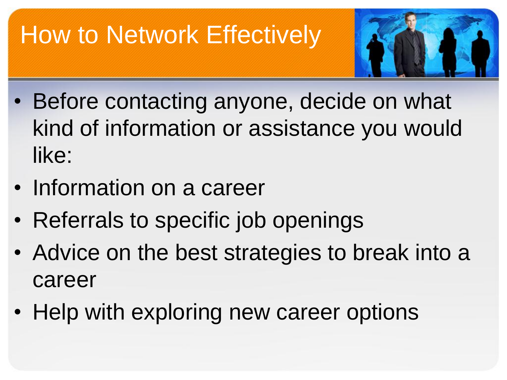# How to Network Effectively



- Before contacting anyone, decide on what kind of information or assistance you would like:
- Information on a career
- Referrals to specific job openings
- Advice on the best strategies to break into a career
- Help with exploring new career options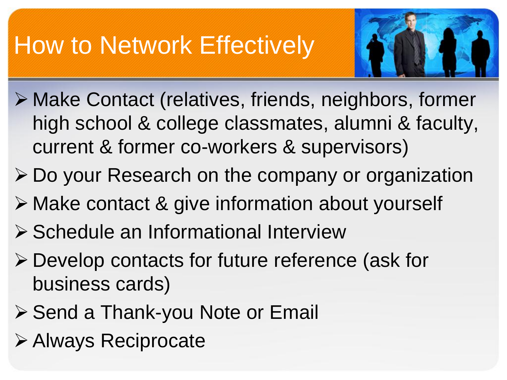## How to Network Effectively



- Make Contact (relatives, friends, neighbors, former high school & college classmates, alumni & faculty, current & former co-workers & supervisors)
- Do your Research on the company or organization
- Make contact & give information about yourself
- ▶ Schedule an Informational Interview
- Develop contacts for future reference (ask for business cards)
- ▶ Send a Thank-you Note or Email
- Always Reciprocate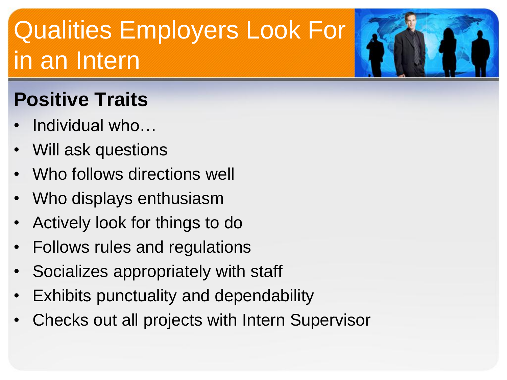# Qualities Employers Look For in an Intern

### **Positive Traits**

- Individual who…
- Will ask questions
- Who follows directions well
- Who displays enthusiasm
- Actively look for things to do
- Follows rules and regulations
- Socializes appropriately with staff
- Exhibits punctuality and dependability
- Checks out all projects with Intern Supervisor

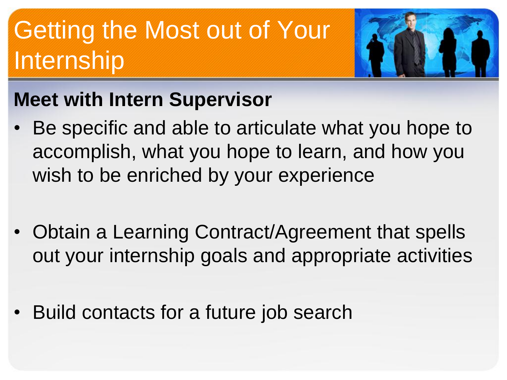# Getting the Most out of Your Internship



#### **Meet with Intern Supervisor**

- Be specific and able to articulate what you hope to accomplish, what you hope to learn, and how you wish to be enriched by your experience
- Obtain a Learning Contract/Agreement that spells out your internship goals and appropriate activities
- Build contacts for a future job search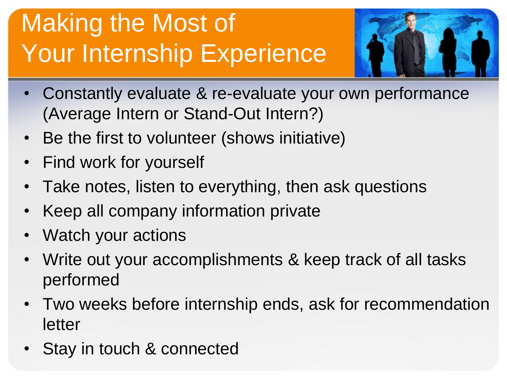# Making the Most of Your Internship Experience



- Constantly evaluate & re-evaluate your own performance (Average Intern or Stand-Out Intern?)
- Be the first to volunteer (shows initiative)
- Find work for yourself
- Take notes, listen to everything, then ask questions
- Keep all company information private
- Watch your actions
- Write out your accomplishments & keep track of all tasks performed
- Two weeks before internship ends, ask for recommendation letter
- Stay in touch & connected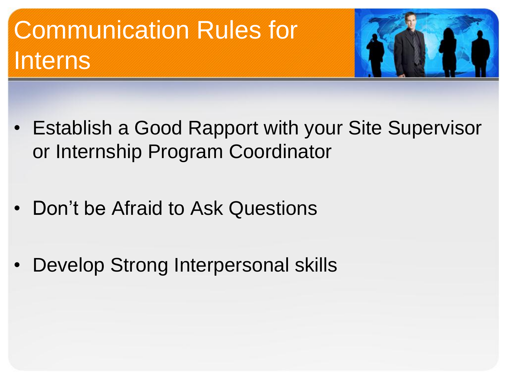# Communication Rules for Interns



- Establish a Good Rapport with your Site Supervisor or Internship Program Coordinator
- Don't be Afraid to Ask Questions
- Develop Strong Interpersonal skills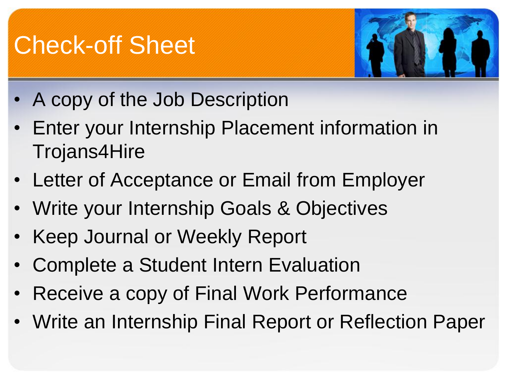### Check-off Sheet



- A copy of the Job Description
- Enter your Internship Placement information in Trojans4Hire
- Letter of Acceptance or Email from Employer
- Write your Internship Goals & Objectives
- Keep Journal or Weekly Report
- Complete a Student Intern Evaluation
- Receive a copy of Final Work Performance
- Write an Internship Final Report or Reflection Paper